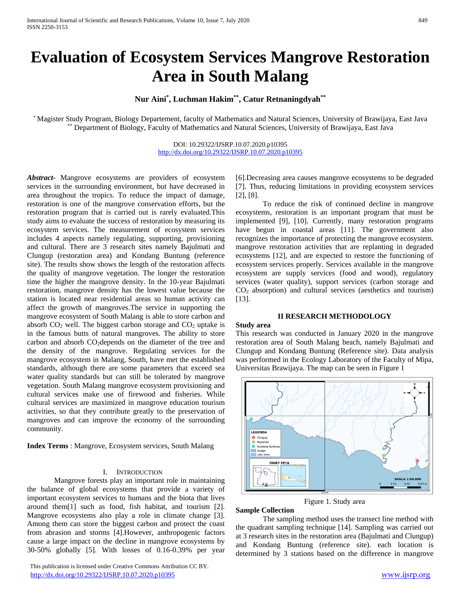# **Evaluation of Ecosystem Services Mangrove Restoration Area in South Malang**

**Nur Aini\* , Luchman Hakim\*\* , Catur Retnaningdyah\*\***

\* Magister Study Program, Biology Departement, faculty of Mathematics and Natural Sciences, University of Brawijaya, East Java \*\* Department of Biology, Faculty of Mathematics and Natural Sciences, University of Brawijaya, East Java

> DOI: 10.29322/IJSRP.10.07.2020.p10395 <http://dx.doi.org/10.29322/IJSRP.10.07.2020.p10395>

*Abstract***-** Mangrove ecosystems are providers of ecosystem services in the surrounding environment, but have decreased in area throughout the tropics. To reduce the impact of damage, restoration is one of the mangrove conservation efforts, but the restoration program that is carried out is rarely evaluated.This study aims to evaluate the success of restoration by measuring its ecosystem services. The measurement of ecosystem services includes 4 aspects namely regulating, supporting, provisioning and cultural. There are 3 research sites namely Bajulmati and Clungup (restoration area) and Kondang Buntung (reference site). The results show shows the length of the restoration affects the quality of mangrove vegetation. The longer the restoration time the higher the mangrove density. In the 10-year Bajulmati restoration, mangrove density has the lowest value because the station is located near residential areas so human activity can affect the growth of mangroves.The service in supporting the mangrove ecosystem of South Malang is able to store carbon and absorb  $CO<sub>2</sub>$  well. The biggest carbon storage and  $CO<sub>2</sub>$  uptake is in the famous butts of natural mangroves. The ability to store carbon and absorb  $CO<sub>2</sub>$ depends on the diameter of the tree and the density of the mangrove. Regulating services for the mangrove ecosystem in Malang, South, have met the established standards, although there are some parameters that exceed sea water quality standards but can still be tolerated by mangrove vegetation. South Malang mangrove ecosystem provisioning and cultural services make use of firewood and fisheries. While cultural services are maximized in mangrove education tourism activities, so that they contribute greatly to the preservation of mangroves and can improve the economy of the surrounding community.

**Index Terms** : Mangrove, Ecosystem services, South Malang

## I. INTRODUCTION

Mangrove forests play an important role in maintaining the balance of global ecosystems that provide a variety of important ecosystem services to humans and the biota that lives around them[1] such as food, fish habitat, and tourism [2]. Mangrove ecosystems also play a role in climate change [3]. Among them can store the biggest carbon and protect the coast from abrasion and storms [4].However, anthropogenic factors cause a large impact on the decline in mangrove ecosystems by 30-50% globally [5]. With losses of 0.16-0.39% per year

 This publication is licensed under Creative Commons Attribution CC BY. <http://dx.doi.org/10.29322/IJSRP.10.07.2020.p10395> [www.ijsrp.org](http://ijsrp.org/)

[6].Decreasing area causes mangrove ecosystems to be degraded [7]. Thus, reducing limitations in providing ecosystem services [2], [8].

To reduce the risk of continued decline in mangrove ecosystems, restoration is an important program that must be implemented [9], [10]. Currently, many restoration programs have begun in coastal areas [11]. The government also recognizes the importance of protecting the mangrove ecosystem. mangrove restoration activities that are replanting in degraded ecosystems [12], and are expected to restore the functioning of ecosystem services properly. Services available in the mangrove ecosystem are supply services (food and wood), regulatory services (water quality), support services (carbon storage and CO<sup>2</sup> absorption) and cultural services (aesthetics and tourism) [13].

## **II RESEARCH METHODOLOGY**

#### **Study area**

This research was conducted in January 2020 in the mangrove restoration area of South Malang beach, namely Bajulmati and Clungup and Kondang Buntung (Reference site). Data analysis was performed in the Ecology Laboratory of the Faculty of Mipa, Universitas Brawijaya. The map can be seen in Figure 1



Figure 1. Study area

#### **Sample Collection**

The sampling method uses the transect line method with the quadrant sampling technique [14]. Sampling was carried out at 3 research sites in the restoration area (Bajulmati and Clungup) and Kondang Buntung (reference site). each location is determined by 3 stations based on the difference in mangrove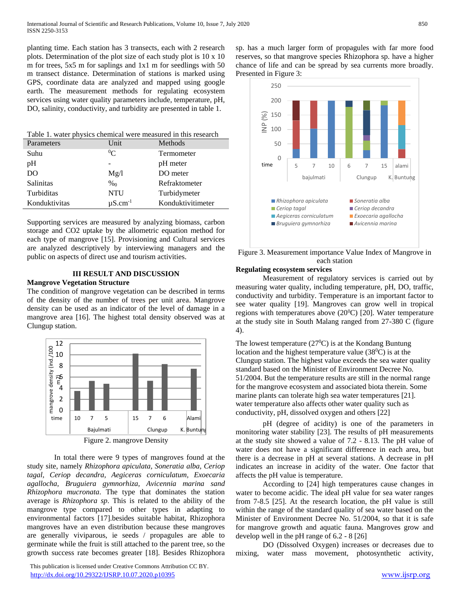planting time. Each station has 3 transects, each with 2 research plots. Determination of the plot size of each study plot is 10 x 10 m for trees, 5x5 m for saplings and 1x1 m for seedlings with 50 m transect distance. Determination of stations is marked using GPS, coordinate data are analyzed and mapped using google earth. The measurement methods for regulating ecosystem services using water quality parameters include, temperature, pH, DO, salinity, conductivity, and turbidity are presented in table 1.

| Table 1. water physics chemical were measured in this research |                          |                   |
|----------------------------------------------------------------|--------------------------|-------------------|
| Parameters                                                     | Unit                     | Methods           |
| Suhu                                                           | $\rm ^{0}C$              | Termometer        |
| pH                                                             |                          | pH meter          |
| D <sub>O</sub>                                                 | Mg/l                     | DO meter          |
| Salinitas                                                      | $\%$ <sub>0</sub>        | Refraktometer     |
| Turbiditas                                                     | <b>NTU</b>               | Turbidymeter      |
| Konduktivitas                                                  | $\mu$ S.cm <sup>-1</sup> | Konduktivitimeter |

Supporting services are measured by analyzing biomass, carbon storage and CO2 uptake by the allometric equation method for each type of mangrove [15]. Provisioning and Cultural services are analyzed descriptively by interviewing managers and the public on aspects of direct use and tourism activities.

## **III RESULT AND DISCUSSION**

## **Mangrove Vegetation Structure**

The condition of mangrove vegetation can be described in terms of the density of the number of trees per unit area. Mangrove density can be used as an indicator of the level of damage in a mangrove area [16]. The highest total density observed was at Clungup station.



In total there were 9 types of mangroves found at the study site, namely *Rhizophora apiculata, Soneratia alba, Ceriop tagal, Ceriop decandra, Aegiceras corniculatum, Exoecaria agallocha, Bruguiera gymnorhiza, Avicennia marina sand Rhizophora mucronata*. The type that dominates the station average is *Rhizophora sp*. This is related to the ability of the mangrove type compared to other types in adapting to environmental factors [17].besides suitable habitat, Rhizophora mangroves have an even distribution because these mangroves are generally viviparous, ie seeds / propagules are able to germinate while the fruit is still attached to the parent tree, so the growth success rate becomes greater [18]. Besides Rhizophora

 This publication is licensed under Creative Commons Attribution CC BY. <http://dx.doi.org/10.29322/IJSRP.10.07.2020.p10395> [www.ijsrp.org](http://ijsrp.org/)

sp. has a much larger form of propagules with far more food reserves, so that mangrove species Rhizophora sp. have a higher chance of life and can be spread by sea currents more broadly. Presented in Figure 3:



Figure 3. Measurement importance Value Index of Mangrove in each station

## **Regulating ecosystem services**

Measurement of regulatory services is carried out by measuring water quality, including temperature, pH, DO, traffic, conductivity and turbidity. Temperature is an important factor to see water quality [19]. Mangroves can grow well in tropical regions with temperatures above  $(20^0C)$  [20]. Water temperature at the study site in South Malang ranged from 27-380 C (figure 4).

The lowest temperature ( $27^{\circ}$ C) is at the Kondang Buntung location and the highest temperature value  $(38^{\circ}C)$  is at the Clungup station. The highest value exceeds the sea water quality standard based on the Minister of Environment Decree No. 51/2004. But the temperature results are still in the normal range for the mangrove ecosystem and associated biota therein. Some marine plants can tolerate high sea water temperatures [21]. water temperature also affects other water quality such as conductivity, pH, dissolved oxygen and others [22]

pH (degree of acidity) is one of the parameters in monitoring water stability [23]. The results of pH measurements at the study site showed a value of 7.2 - 8.13. The pH value of water does not have a significant difference in each area, but there is a decrease in pH at several stations. A decrease in pH indicates an increase in acidity of the water. One factor that affects the pH value is temperature.

According to [24] high temperatures cause changes in water to become acidic. The ideal pH value for sea water ranges from 7-8.5 [25]. At the research location, the pH value is still within the range of the standard quality of sea water based on the Minister of Environment Decree No. 51/2004, so that it is safe for mangrove growth and aquatic fauna. Mangroves grow and develop well in the pH range of 6.2 - 8 [26]

DO (Dissolved Oxygen) increases or decreases due to mixing, water mass movement, photosynthetic activity,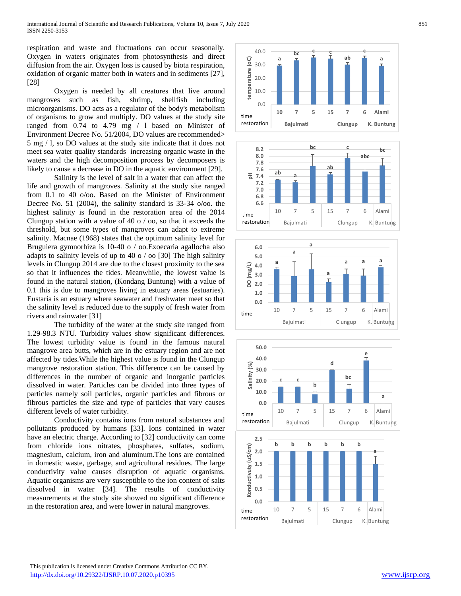respiration and waste and fluctuations can occur seasonally. Oxygen in waters originates from photosynthesis and direct diffusion from the air. Oxygen loss is caused by biota respiration, oxidation of organic matter both in waters and in sediments [27], [28]

Oxygen is needed by all creatures that live around mangroves such as fish, shrimp, shellfish including microorganisms. DO acts as a regulator of the body's metabolism of organisms to grow and multiply. DO values at the study site ranged from 0.74 to 4.79 mg / l based on Minister of Environment Decree No. 51/2004, DO values are recommended> 5 mg / l, so DO values at the study site indicate that it does not meet sea water quality standards increasing organic waste in the waters and the high decomposition process by decomposers is likely to cause a decrease in DO in the aquatic environment [29].

Salinity is the level of salt in a water that can affect the life and growth of mangroves. Salinity at the study site ranged from 0.1 to 40 o/oo. Based on the Minister of Environment Decree No. 51 (2004), the salinity standard is 33-34 o/oo. the highest salinity is found in the restoration area of the 2014 Clungup station with a value of 40 o / oo, so that it exceeds the threshold, but some types of mangroves can adapt to extreme salinity. Macnae (1968) states that the optimum salinity level for Bruguiera gymnorhiza is 10-40 o / oo.Exoecaria agallocha also adapts to salinity levels of up to 40 o / oo [30] The high salinity levels in Clungup 2014 are due to the closest proximity to the sea so that it influences the tides. Meanwhile, the lowest value is found in the natural station, (Kondang Buntung) with a value of 0.1 this is due to mangroves living in estuary areas (estuaries). Eustaria is an estuary where seawater and freshwater meet so that the salinity level is reduced due to the supply of fresh water from rivers and rainwater [31]

The turbidity of the water at the study site ranged from 1.29-98.3 NTU. Turbidity values show significant differences. The lowest turbidity value is found in the famous natural mangrove area butts, which are in the estuary region and are not affected by tides.While the highest value is found in the Clungup mangrove restoration station. This difference can be caused by differences in the number of organic and inorganic particles dissolved in water. Particles can be divided into three types of particles namely soil particles, organic particles and fibrous or fibrous particles the size and type of particles that vary causes different levels of water turbidity.

Conductivity contains ions from natural substances and pollutants produced by humans [33]. Ions contained in water have an electric charge. According to [32] conductivity can come from chloride ions nitrates, phosphates, sulfates, sodium, magnesium, calcium, iron and aluminum.The ions are contained in domestic waste, garbage, and agricultural residues. The large conductivity value causes disruption of aquatic organisms. Aquatic organisms are very susceptible to the ion content of salts dissolved in water [34]. The results of conductivity measurements at the study site showed no significant difference in the restoration area, and were lower in natural mangroves.









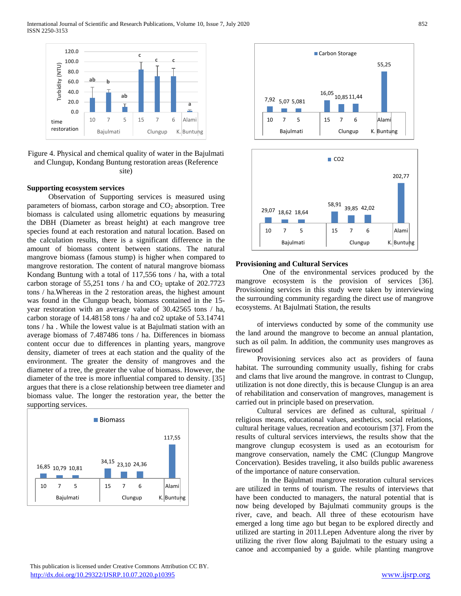International Journal of Scientific and Research Publications, Volume 10, Issue 7, July 2020 852 ISSN 2250-3153



Figure 4. Physical and chemical quality of water in the Bajulmati and Clungup, Kondang Buntung restoration areas (Reference site)

### **Supporting ecosystem services**

Observation of Supporting services is measured using parameters of biomass, carbon storage and  $CO<sub>2</sub>$  absorption. Tree biomass is calculated using allometric equations by measuring the DBH (Diameter as breast height) at each mangrove tree species found at each restoration and natural location. Based on the calculation results, there is a significant difference in the amount of biomass content between stations. The natural mangrove biomass (famous stump) is higher when compared to mangrove restoration. The content of natural mangrove biomass Kondang Buntung with a total of 117,556 tons / ha, with a total carbon storage of 55,251 tons / ha and  $CO<sub>2</sub>$  uptake of 202.7723 tons / ha.Whereas in the 2 restoration areas, the highest amount was found in the Clungup beach, biomass contained in the 15 year restoration with an average value of 30.42565 tons / ha, carbon storage of 14.48158 tons / ha and co2 uptake of 53.14741 tons / ha . While the lowest value is at Bajulmati station with an average biomass of 7.487486 tons / ha. Differences in biomass content occur due to differences in planting years, mangrove density, diameter of trees at each station and the quality of the environment. The greater the density of mangroves and the diameter of a tree, the greater the value of biomass. However, the diameter of the tree is more influential compared to density. [35] argues that there is a close relationship between tree diameter and biomass value. The longer the restoration year, the better the supporting services.







### **Provisioning and Cultural Services**

One of the environmental services produced by the mangrove ecosystem is the provision of services [36]. Provisioning services in this study were taken by interviewing the surrounding community regarding the direct use of mangrove ecosystems. At Bajulmati Station, the results

of interviews conducted by some of the community use the land around the mangrove to become an annual plantation, such as oil palm. In addition, the community uses mangroves as firewood

Provisioning services also act as providers of fauna habitat. The surrounding community usually, fishing for crabs and clams that live around the mangrove. in contrast to Clungup, utilization is not done directly, this is because Clungup is an area of rehabilitation and conservation of mangroves, management is carried out in principle based on preservation.

Cultural services are defined as cultural, spiritual / religious means, educational values, aesthetics, social relations, cultural heritage values, recreation and ecotourism [37]. From the results of cultural services interviews, the results show that the mangrove clungup ecosystem is used as an ecotourism for mangrove conservation, namely the CMC (Clungup Mangrove Concervation). Besides traveling, it also builds public awareness of the importance of nature conservation.

In the Bajulmati mangrove restoration cultural services are utilized in terms of tourism. The results of interviews that have been conducted to managers, the natural potential that is now being developed by Bajulmati community groups is the river, cave, and beach. All three of these ecotourism have emerged a long time ago but began to be explored directly and utilized are starting in 2011.Lepen Adventure along the river by utilizing the river flow along Bajulmati to the estuary using a canoe and accompanied by a guide. while planting mangrove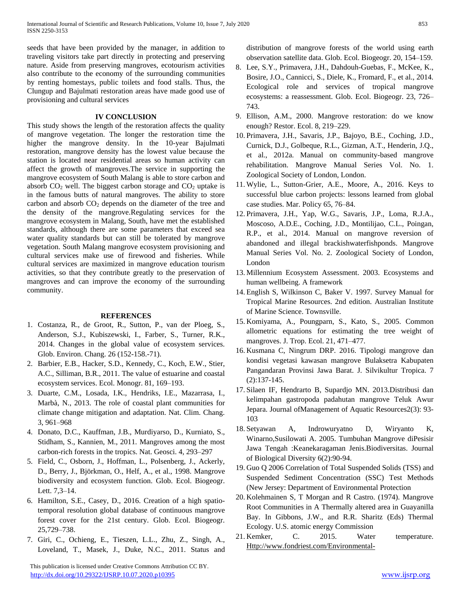seeds that have been provided by the manager, in addition to traveling visitors take part directly in protecting and preserving nature. Aside from preserving mangroves, ecotourism activities also contribute to the economy of the surrounding communities by renting homestays, public toilets and food stalls. Thus, the Clungup and Bajulmati restoration areas have made good use of provisioning and cultural services

# **IV CONCLUSION**

This study shows the length of the restoration affects the quality of mangrove vegetation. The longer the restoration time the higher the mangrove density. In the 10-year Bajulmati restoration, mangrove density has the lowest value because the station is located near residential areas so human activity can affect the growth of mangroves.The service in supporting the mangrove ecosystem of South Malang is able to store carbon and absorb  $CO<sub>2</sub>$  well. The biggest carbon storage and  $CO<sub>2</sub>$  uptake is in the famous butts of natural mangroves. The ability to store carbon and absorb  $CO<sub>2</sub>$  depends on the diameter of the tree and the density of the mangrove.Regulating services for the mangrove ecosystem in Malang, South, have met the established standards, although there are some parameters that exceed sea water quality standards but can still be tolerated by mangrove vegetation. South Malang mangrove ecosystem provisioning and cultural services make use of firewood and fisheries. While cultural services are maximized in mangrove education tourism activities, so that they contribute greatly to the preservation of mangroves and can improve the economy of the surrounding community.

# **REFERENCES**

- 1. Costanza, R., de Groot, R., Sutton, P., van der Ploeg, S., Anderson, S.J., Kubiszewski, I., Farber, S., Turner, R.K., 2014. [Changes in the global value of ecosystem services.](http://refhub.elsevier.com/S0025-326X(16)30350-2/rf0095)  [Glob. Environ. Chang. 26 \(152-158.-71\).](http://refhub.elsevier.com/S0025-326X(16)30350-2/rf0095)
- 2. Barbier, E.B., Hacker, S.D., Kennedy, C., Koch, E.W., Stier, A.C., Silliman, B.R., 2011. [The value of estuarine and coastal](http://refhub.elsevier.com/S0025-326X(16)30350-2/rf0040)  [ecosystem services. Ecol. Monogr. 81, 169–193.](http://refhub.elsevier.com/S0025-326X(16)30350-2/rf0040)
- 3. Duarte, C.M., Losada, I.K., Hendriks, I.E., Mazarrasa, I., Marbà, N., 2013. [The role of coastal plant communities for](http://refhub.elsevier.com/S0025-326X(16)30350-2/rf0115)  [climate change mitigation and adaptation. Nat. Clim. Chang.](http://refhub.elsevier.com/S0025-326X(16)30350-2/rf0115)  [3, 961–968](http://refhub.elsevier.com/S0025-326X(16)30350-2/rf0115)
- 4. Donato, D.C., Kauffman, J.B., Murdiyarso, D., Kurniato, S., Stidham, S., Kannien, M., 2011. [Mangroves among the most](http://refhub.elsevier.com/S0025-326X(16)30350-2/rf0110)  [carbon-rich forests in the tropics. Nat. Geosci. 4, 293–297](http://refhub.elsevier.com/S0025-326X(16)30350-2/rf0110)
- 5. Field, C., Osborn, J., Hoffman, L., Polsenberg, J., Ackerly, D., Berry, J., Björkman, O., Helf, A., et al., 1998. [Mangrove](http://refhub.elsevier.com/S0025-326X(16)30350-2/rf0140)  [biodiversity and ecosystem function. Glob. Ecol. Biogeogr.](http://refhub.elsevier.com/S0025-326X(16)30350-2/rf0140)  [Lett. 7,3–14.](http://refhub.elsevier.com/S0025-326X(16)30350-2/rf0140)
- 6. Hamilton, S.E., Casey, D., 2016. [Creation of a high spatio](http://refhub.elsevier.com/S0025-326X(16)30350-2/rf0165)[temporal resolution global database of continuous mangrove](http://refhub.elsevier.com/S0025-326X(16)30350-2/rf0165)  [forest cover for the 21st century. Glob. Ecol. Biogeogr.](http://refhub.elsevier.com/S0025-326X(16)30350-2/rf0165)  [25,729–738.](http://refhub.elsevier.com/S0025-326X(16)30350-2/rf0165)
- 7. Giri, C., Ochieng, E., Tieszen, L.L., Zhu, Z., Singh, A., Loveland, T., Masek, J., Duke, N.C., 2011. [Status and](http://refhub.elsevier.com/S0025-326X(16)30350-2/rf0150)

 This publication is licensed under Creative Commons Attribution CC BY. <http://dx.doi.org/10.29322/IJSRP.10.07.2020.p10395> [www.ijsrp.org](http://ijsrp.org/)

[distribution of mangrove forests of the world using earth](http://refhub.elsevier.com/S0025-326X(16)30350-2/rf0150)  [observation satellite data. Glob. Ecol. Biogeogr. 20, 154–159.](http://refhub.elsevier.com/S0025-326X(16)30350-2/rf0150)

- 8. Lee, S.Y., Primavera, J.H., Dahdouh-Guebas, F., McKee, K., Bosire, J.O., Cannicci, S., Diele, K., Fromard, F., et al., 2014. [Ecological role and services of tropical mangrove](http://refhub.elsevier.com/S0025-326X(16)30350-2/rf0230)  [ecosystems: a reassessment. Glob. Ecol. Biogeogr. 23, 726–](http://refhub.elsevier.com/S0025-326X(16)30350-2/rf0230) [743.](http://refhub.elsevier.com/S0025-326X(16)30350-2/rf0230)
- 9. Ellison, A.M., 2000. [Mangrove restoration: do we know](http://refhub.elsevier.com/S0025-326X(16)30350-2/rf0125)  [enough? Restor. Ecol. 8, 219–229.](http://refhub.elsevier.com/S0025-326X(16)30350-2/rf0125)
- 10. Primavera, J.H., Savaris, J.P., Bajoyo, B.E., Coching, J.D., Curnick, D.J., Golbeque, R.L., Gizman, A.T., Henderin, J.Q., et al., 2012a. [Manual on community-based mangrove](http://refhub.elsevier.com/S0025-326X(16)30350-2/rf0300)  [rehabilitation. Mangrove Manual Series Vol. No. 1.](http://refhub.elsevier.com/S0025-326X(16)30350-2/rf0300)  [Zoological Society of London, London.](http://refhub.elsevier.com/S0025-326X(16)30350-2/rf0300)
- 11. Wylie, L., Sutton-Grier, A.E., Moore, A., 2016. [Keys to](http://refhub.elsevier.com/S0025-326X(16)30350-2/rf0420)  [successful blue carbon projects: lessons learned from global](http://refhub.elsevier.com/S0025-326X(16)30350-2/rf0420)  [case studies. Mar. Policy 65, 76–84.](http://refhub.elsevier.com/S0025-326X(16)30350-2/rf0420)
- 12. Primavera, J.H., Yap, W.G., Savaris, J.P., Loma, R.J.A., Moscoso, A.D.E., Coching, J.D., Montilijao, C.L., Poingan, R.P., et al., 2014. [Manual on mangrove reversion of](http://refhub.elsevier.com/S0025-326X(16)30350-2/rf0310)  [abandoned and illegal brackishwaterfishponds. Mangrove](http://refhub.elsevier.com/S0025-326X(16)30350-2/rf0310)  [Manual Series Vol. No. 2. Zoological Society of London,](http://refhub.elsevier.com/S0025-326X(16)30350-2/rf0310)  [London](http://refhub.elsevier.com/S0025-326X(16)30350-2/rf0310)
- 13. Millennium Ecosystem Assessment. 2003. Ecosystems and human wellbeing. A framework
- 14. English S, Wilkinson C, Baker V. 1997. Survey Manual for Tropical Marine Resources. 2nd edition. Australian Institute of Marine Science. Townsville.
- 15. Komiyama, A., Poungparn, S., Kato, S., 2005. [Common](http://refhub.elsevier.com/S0025-326X(16)30350-2/rf0215)  [allometric equations for estimating the tree weight of](http://refhub.elsevier.com/S0025-326X(16)30350-2/rf0215)  [mangroves. J. Trop. Ecol. 21, 471–477.](http://refhub.elsevier.com/S0025-326X(16)30350-2/rf0215)
- 16. Kusmana C, Ningrum DRP. 2016. Tipologi mangrove dan kondisi vegetasi kawasan mangrove Bulaksetra Kabupaten Pangandaran Provinsi Jawa Barat. J. Silvikultur Tropica. 7 (2):137-145.
- 17. Silaen IF, Hendrarto B, Supardjo MN. 2013.Distribusi dan kelimpahan gastropoda padahutan mangrove Teluk Awur Jepara. Journal ofManagement of Aquatic Resources2(3): 93- 103
- 18. Setyawan A, Indrowuryatno D, Wiryanto K, Winarno,Susilowati A. 2005. Tumbuhan Mangrove diPesisir Jawa Tengah :Keanekaragaman Jenis.Biodiversitas. Journal of Biological Diversity 6(2):90-94.
- 19. Guo Q 2006 Correlation of Total Suspended Solids (TSS) and Suspended Sediment Concentration (SSC) Test Methods (New Jersey: Department of Environmental Protection
- 20. Kolehmainen S, T Morgan and R Castro. (1974). Mangrove Root Communities in A Thermally altered area in Guayanilla Bay. In Gibbons, J.W., and R.R. Sharitz (Eds) Thermal Ecology. U.S. atomic energy Commission
- 21. Kemker, C. 2015. Water temperature. [Http://www.fondriest.com/Environmental-](http://www.fondriest.com/Environmental-Measurenment/Parameters/Water-Quality/Water-Temperature/#Watertemp2)